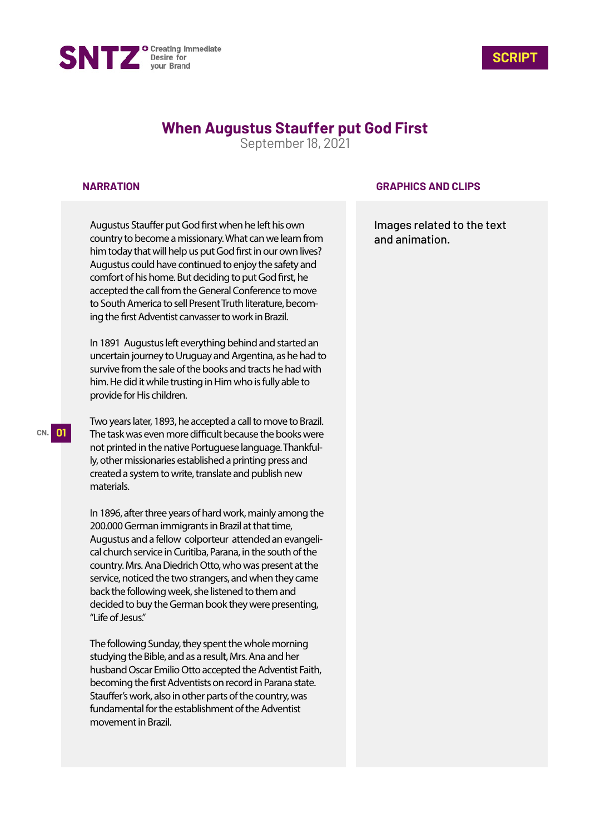



# **When Augustus Stauffer put God First**

September 18, 2021

#### **NARRATION**

Augustus Stauffer put God first when he left his own country to become a missionary. What can we learn from him today that will help us put God first in our own lives? Augustus could have continued to enjoy the safety and comfort of his home. But deciding to put God first, he accepted the call from the General Conference to move to South America to sell Present Truth literature, becoming the first Adventist canvasser to work in Brazil.

In 1891 Augustus left everything behind and started an uncertain journey to Uruguay and Argentina, as he had to survive from the sale of the books and tracts he had with him. He did it while trusting in Him who is fully able to provide for His children.

Two years later, 1893, he accepted a call to move to Brazil. The task was even more difficult because the books were not printed in the native Portuguese language. Thankfully, other missionaries established a printing press and created a system to write, translate and publish new materials.

In 1896, after three years of hard work, mainly among the 200.000 German immigrants in Brazil at that time, Augustus and a fellow colporteur attended an evangelical church service in Curitiba, Parana, in the south of the country. Mrs. Ana Diedrich Otto, who was present at the service, noticed the two strangers, and when they came back the following week, she listened to them and decided to buy the German book they were presenting, "Life of Jesus."

The following Sunday, they spent the whole morning studying the Bible, and as a result, Mrs. Ana and her husband Oscar Emilio Otto accepted the Adventist Faith, becoming the first Adventists on record in Parana state. Stauffer's work, also in other parts of the country, was fundamental for the establishment of the Adventist movement in Brazil.

### **GRAPHICS AND CLIPS**

Images related to the text and animation.